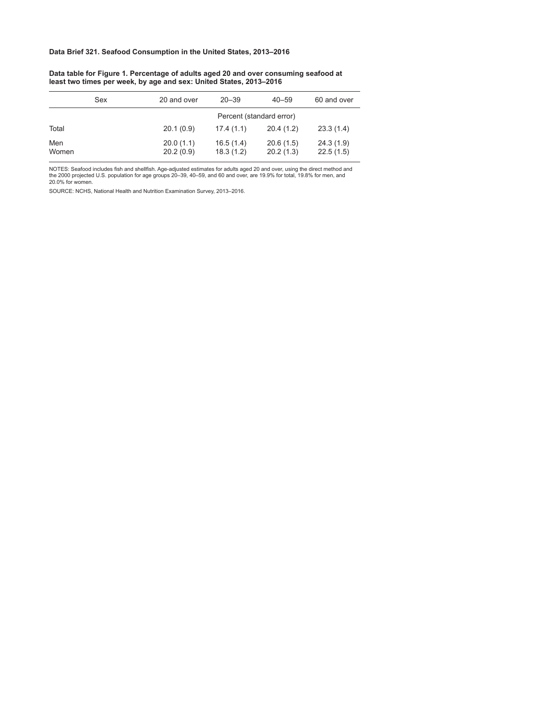**Data table for Figure 1. Percentage of adults aged 20 and over consuming seafood at least two times per week, by age and sex: United States, 2013–2016**

|              | Sex | 20 and over            | $20 - 39$                | $40 - 59$              | 60 and over            |  |
|--------------|-----|------------------------|--------------------------|------------------------|------------------------|--|
|              |     |                        | Percent (standard error) |                        |                        |  |
| Total        |     | 20.1(0.9)              | 17.4(1.1)                | 20.4(1.2)              | 23.3(1.4)              |  |
| Men<br>Women |     | 20.0(1.1)<br>20.2(0.9) | 16.5(1.4)<br>18.3(1.2)   | 20.6(1.5)<br>20.2(1.3) | 24.3(1.9)<br>22.5(1.5) |  |

NOTES: Seafood includes fish and shellfish. Age-adjusted estimates for adults aged 20 and over, using the direct method and<br>the 2000 projected U.S. population for age groups 20–39, 40–59, and 60 and over, are 19.9% for tot 20.0% for women.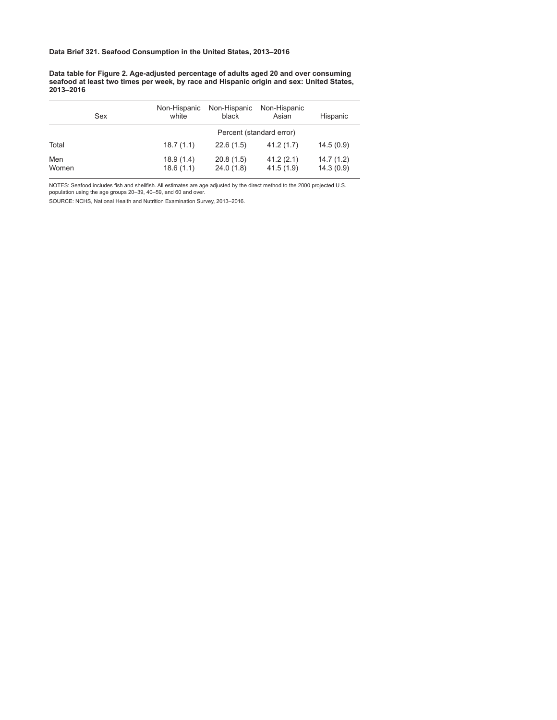**Data table for Figure 2. Age-adjusted percentage of adults aged 20 and over consuming seafood at least two times per week, by race and Hispanic origin and sex: United States, 2013–2016**

| Sex          | Non-Hispanic<br>white  | Non-Hispanic<br>black    | Non-Hispanic<br>Asian  | Hispanic               |  |
|--------------|------------------------|--------------------------|------------------------|------------------------|--|
|              |                        | Percent (standard error) |                        |                        |  |
| Total        | 18.7(1.1)              | 22.6(1.5)                | 41.2(1.7)              | 14.5(0.9)              |  |
| Men<br>Women | 18.9(1.4)<br>18.6(1.1) | 20.8(1.5)<br>24.0(1.8)   | 41.2(2.1)<br>41.5(1.9) | 14.7(1.2)<br>14.3(0.9) |  |

NOTES: Seafood includes fish and shellfish. All estimates are age adjusted by the direct method to the 2000 projected U.S. population using the age groups 20–39, 40–59, and 60 and over.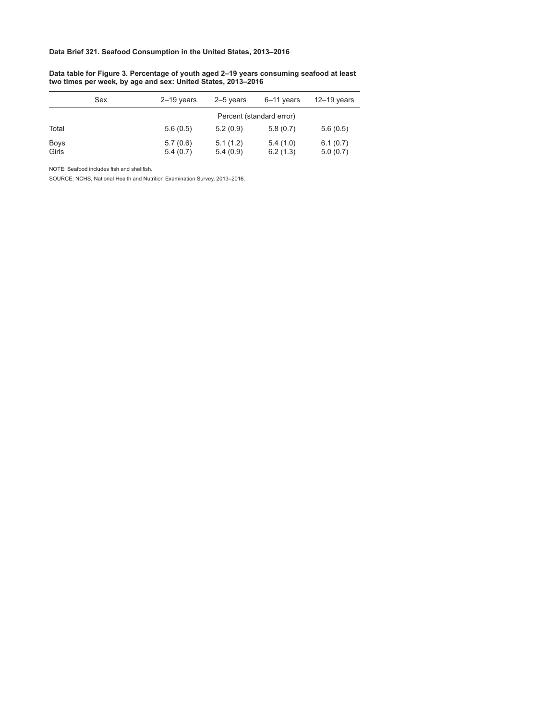| Data table for Figure 3. Percentage of youth aged 2–19 years consuming seafood at least |
|-----------------------------------------------------------------------------------------|
| two times per week, by age and sex: United States, 2013–2016                            |

|               | Sex | $2-19$ years         | $2-5$ years              | $6-11$ years         | $12 - 19$ years      |  |  |
|---------------|-----|----------------------|--------------------------|----------------------|----------------------|--|--|
|               |     |                      | Percent (standard error) |                      |                      |  |  |
| Total         |     | 5.6(0.5)             | 5.2(0.9)                 | 5.8(0.7)             | 5.6(0.5)             |  |  |
| Boys<br>Girls |     | 5.7(0.6)<br>5.4(0.7) | 5.1(1.2)<br>5.4(0.9)     | 5.4(1.0)<br>6.2(1.3) | 6.1(0.7)<br>5.0(0.7) |  |  |

NOTE: Seafood includes fish and shellfish.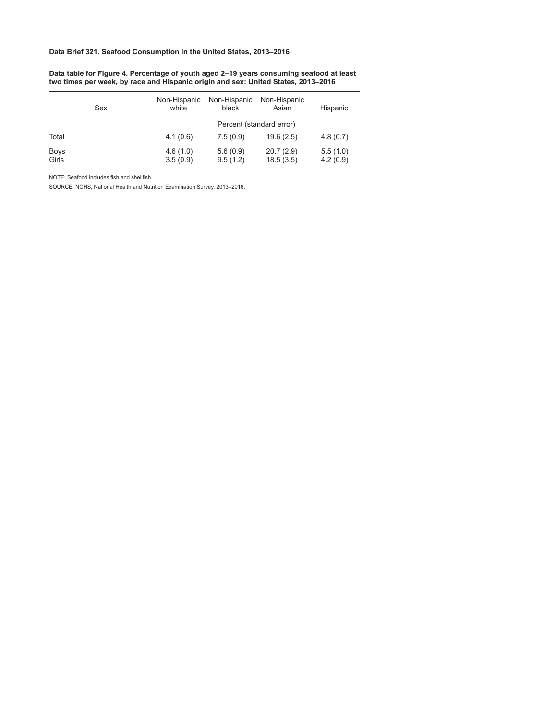### **Data table for Figure 4. Percentage of youth aged 2–19 years consuming seafood at least two times per week, by race and Hispanic origin and sex: United States, 2013–2016**

| Sex                  | Non-Hispanic<br>white | Non-Hispanic<br>black    | Non-Hispanic<br>Asian  | Hispanic             |
|----------------------|-----------------------|--------------------------|------------------------|----------------------|
|                      |                       | Percent (standard error) |                        |                      |
| Total                | 4.1(0.6)              | 7.5(0.9)                 | 19.6(2.5)              | 4.8(0.7)             |
| <b>Boys</b><br>Girls | 4.6(1.0)<br>3.5(0.9)  | 5.6(0.9)<br>9.5(1.2)     | 20.7(2.9)<br>18.5(3.5) | 5.5(1.0)<br>4.2(0.9) |

NOTE: Seafood includes fish and shellfish.